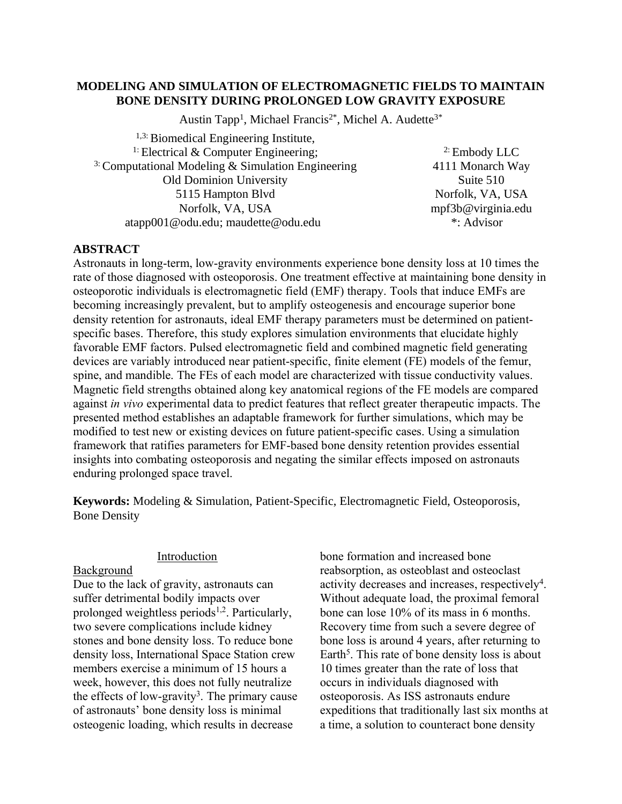# **MODELING AND SIMULATION OF ELECTROMAGNETIC FIELDS TO MAINTAIN BONE DENSITY DURING PROLONGED LOW GRAVITY EXPOSURE**

Austin Tapp<sup>1</sup>, Michael Francis<sup>2\*</sup>, Michel A. Audette<sup>3\*</sup>

1,3: Biomedical Engineering Institute, <sup>1:</sup> Electrical & Computer Engineering; <sup>3:</sup> Computational Modeling & Simulation Engineering Old Dominion University 5115 Hampton Blvd Norfolk, VA, USA atapp001@odu.edu; maudette@odu.edu

2: Embody LLC 4111 Monarch Way Suite 510 Norfolk, VA, USA mpf3b@virginia.edu \*: Advisor

# **ABSTRACT**

Astronauts in long-term, low-gravity environments experience bone density loss at 10 times the rate of those diagnosed with osteoporosis. One treatment effective at maintaining bone density in osteoporotic individuals is electromagnetic field (EMF) therapy. Tools that induce EMFs are becoming increasingly prevalent, but to amplify osteogenesis and encourage superior bone density retention for astronauts, ideal EMF therapy parameters must be determined on patientspecific bases. Therefore, this study explores simulation environments that elucidate highly favorable EMF factors. Pulsed electromagnetic field and combined magnetic field generating devices are variably introduced near patient-specific, finite element (FE) models of the femur, spine, and mandible. The FEs of each model are characterized with tissue conductivity values. Magnetic field strengths obtained along key anatomical regions of the FE models are compared against *in vivo* experimental data to predict features that reflect greater therapeutic impacts. The presented method establishes an adaptable framework for further simulations, which may be modified to test new or existing devices on future patient-specific cases. Using a simulation framework that ratifies parameters for EMF-based bone density retention provides essential insights into combating osteoporosis and negating the similar effects imposed on astronauts enduring prolonged space travel.

**Keywords:** Modeling & Simulation, Patient-Specific, Electromagnetic Field, Osteoporosis, Bone Density

## Introduction

## Background

Due to the lack of gravity, astronauts can suffer detrimental bodily impacts over prolonged weightless periods<sup>1,2</sup>. Particularly, two severe complications include kidney stones and bone density loss. To reduce bone density loss, International Space Station crew members exercise a minimum of 15 hours a week, however, this does not fully neutralize the effects of low-gravity<sup>3</sup>. The primary cause of astronauts' bone density loss is minimal osteogenic loading, which results in decrease

bone formation and increased bone reabsorption, as osteoblast and osteoclast activity decreases and increases, respectively<sup>4</sup>. Without adequate load, the proximal femoral bone can lose 10% of its mass in 6 months. Recovery time from such a severe degree of bone loss is around 4 years, after returning to Earth<sup>5</sup>. This rate of bone density loss is about 10 times greater than the rate of loss that occurs in individuals diagnosed with osteoporosis. As ISS astronauts endure expeditions that traditionally last six months at a time, a solution to counteract bone density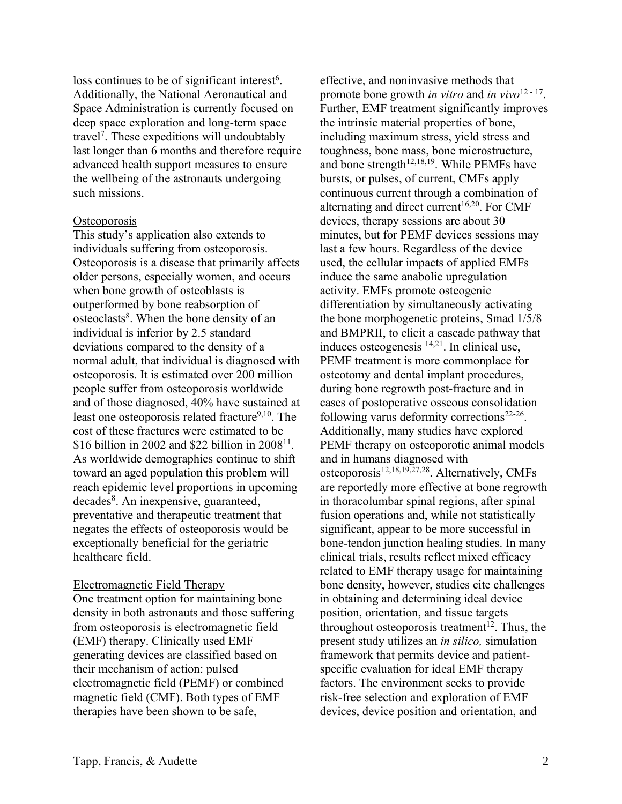loss continues to be of significant interest<sup>6</sup>. Additionally, the National Aeronautical and Space Administration is currently focused on deep space exploration and long-term space travel<sup>7</sup> . These expeditions will undoubtably last longer than 6 months and therefore require advanced health support measures to ensure the wellbeing of the astronauts undergoing such missions.

## **Osteoporosis**

This study's application also extends to individuals suffering from osteoporosis. Osteoporosis is a disease that primarily affects older persons, especially women, and occurs when bone growth of osteoblasts is outperformed by bone reabsorption of osteoclasts<sup>8</sup>. When the bone density of an individual is inferior by 2.5 standard deviations compared to the density of a normal adult, that individual is diagnosed with osteoporosis. It is estimated over 200 million people suffer from osteoporosis worldwide and of those diagnosed, 40% have sustained at least one osteoporosis related fracture<sup>9,10</sup>. The cost of these fractures were estimated to be  $$16$  billion in 2002 and \$22 billion in 2008<sup>11</sup>. As worldwide demographics continue to shift toward an aged population this problem will reach epidemic level proportions in upcoming decades<sup>8</sup>. An inexpensive, guaranteed, preventative and therapeutic treatment that negates the effects of osteoporosis would be exceptionally beneficial for the geriatric healthcare field.

# Electromagnetic Field Therapy

One treatment option for maintaining bone density in both astronauts and those suffering from osteoporosis is electromagnetic field (EMF) therapy. Clinically used EMF generating devices are classified based on their mechanism of action: pulsed electromagnetic field (PEMF) or combined magnetic field (CMF). Both types of EMF therapies have been shown to be safe,

effective, and noninvasive methods that promote bone growth *in vitro* and *in vivo*<sup>12</sup> - <sup>17</sup> . Further, EMF treatment significantly improves the intrinsic material properties of bone, including maximum stress, yield stress and toughness, bone mass, bone microstructure, and bone strength<sup>12,18,19</sup>. While PEMFs have bursts, or pulses, of current, CMFs apply continuous current through a combination of alternating and direct current<sup>16,20</sup>. For CMF devices, therapy sessions are about 30 minutes, but for PEMF devices sessions may last a few hours. Regardless of the device used, the cellular impacts of applied EMFs induce the same anabolic upregulation activity. EMFs promote osteogenic differentiation by simultaneously activating the bone morphogenetic proteins, Smad 1/5/8 and BMPRII, to elicit a cascade pathway that induces osteogenesis <sup>14,21</sup>. In clinical use, PEMF treatment is more commonplace for osteotomy and dental implant procedures, during bone regrowth post-fracture and in cases of postoperative osseous consolidation following varus deformity corrections<sup>22-26</sup>. Additionally, many studies have explored PEMF therapy on osteoporotic animal models and in humans diagnosed with osteoporosis<sup>12,18,19,27,28</sup>. Alternatively, CMFs are reportedly more effective at bone regrowth in thoracolumbar spinal regions, after spinal fusion operations and, while not statistically significant, appear to be more successful in bone-tendon junction healing studies. In many clinical trials, results reflect mixed efficacy related to EMF therapy usage for maintaining bone density, however, studies cite challenges in obtaining and determining ideal device position, orientation, and tissue targets throughout osteoporosis treatment<sup>12</sup>. Thus, the present study utilizes an *in silico,* simulation framework that permits device and patientspecific evaluation for ideal EMF therapy factors. The environment seeks to provide risk-free selection and exploration of EMF devices, device position and orientation, and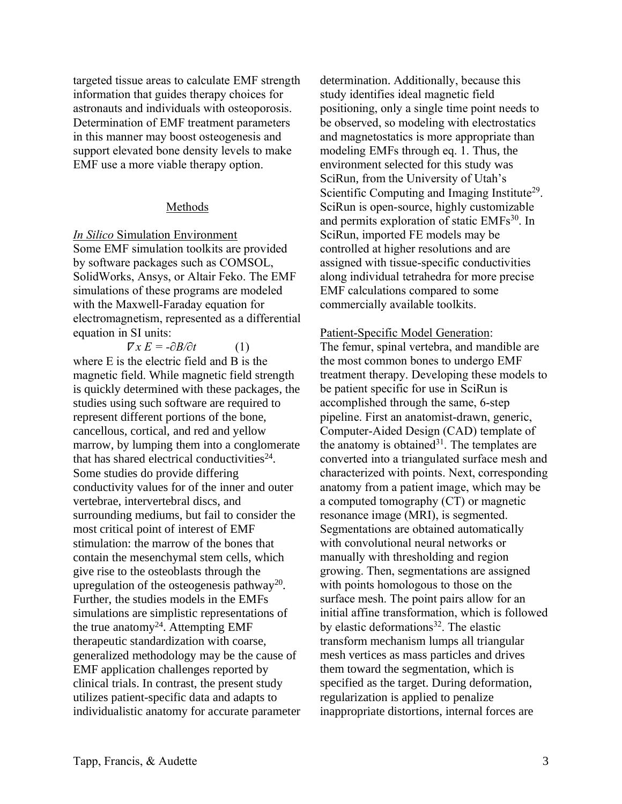targeted tissue areas to calculate EMF strength information that guides therapy choices for astronauts and individuals with osteoporosis. Determination of EMF treatment parameters in this manner may boost osteogenesis and support elevated bone density levels to make EMF use a more viable therapy option.

## Methods

*In Silico* Simulation Environment Some EMF simulation toolkits are provided by software packages such as COMSOL, SolidWorks, Ansys, or Altair Feko. The EMF simulations of these programs are modeled with the Maxwell-Faraday equation for electromagnetism, represented as a differential equation in SI units:

 $\nabla x E = -\frac{\partial B}{\partial t}$  (1) where E is the electric field and B is the magnetic field. While magnetic field strength is quickly determined with these packages, the studies using such software are required to represent different portions of the bone, cancellous, cortical, and red and yellow marrow, by lumping them into a conglomerate that has shared electrical conductivities $24$ . Some studies do provide differing conductivity values for of the inner and outer vertebrae, intervertebral discs, and surrounding mediums, but fail to consider the most critical point of interest of EMF stimulation: the marrow of the bones that contain the mesenchymal stem cells, which give rise to the osteoblasts through the upregulation of the osteogenesis pathway<sup>20</sup>. Further, the studies models in the EMFs simulations are simplistic representations of the true anatomy<sup>24</sup>. Attempting EMF therapeutic standardization with coarse, generalized methodology may be the cause of EMF application challenges reported by clinical trials. In contrast, the present study utilizes patient-specific data and adapts to individualistic anatomy for accurate parameter determination. Additionally, because this study identifies ideal magnetic field positioning, only a single time point needs to be observed, so modeling with electrostatics and magnetostatics is more appropriate than modeling EMFs through eq. 1. Thus, the environment selected for this study was SciRun, from the University of Utah's Scientific Computing and Imaging Institute<sup>29</sup>. SciRun is open-source, highly customizable and permits exploration of static EMFs 30 . In SciRun, imported FE models may be controlled at higher resolutions and are assigned with tissue-specific conductivities along individual tetrahedra for more precise EMF calculations compared to some commercially available toolkits.

Patient-Specific Model Generation:

The femur, spinal vertebra, and mandible are the most common bones to undergo EMF treatment therapy. Developing these models to be patient specific for use in SciRun is accomplished through the same, 6-step pipeline. First an anatomist-drawn, generic, Computer-Aided Design (CAD) template of the anatomy is obtained<sup>31</sup>. The templates are converted into a triangulated surface mesh and characterized with points. Next, corresponding anatomy from a patient image, which may be a computed tomography (CT) or magnetic resonance image (MRI), is segmented. Segmentations are obtained automatically with convolutional neural networks or manually with thresholding and region growing. Then, segmentations are assigned with points homologous to those on the surface mesh. The point pairs allow for an initial affine transformation, which is followed by elastic deformations<sup>32</sup>. The elastic transform mechanism lumps all triangular mesh vertices as mass particles and drives them toward the segmentation, which is specified as the target. During deformation, regularization is applied to penalize inappropriate distortions, internal forces are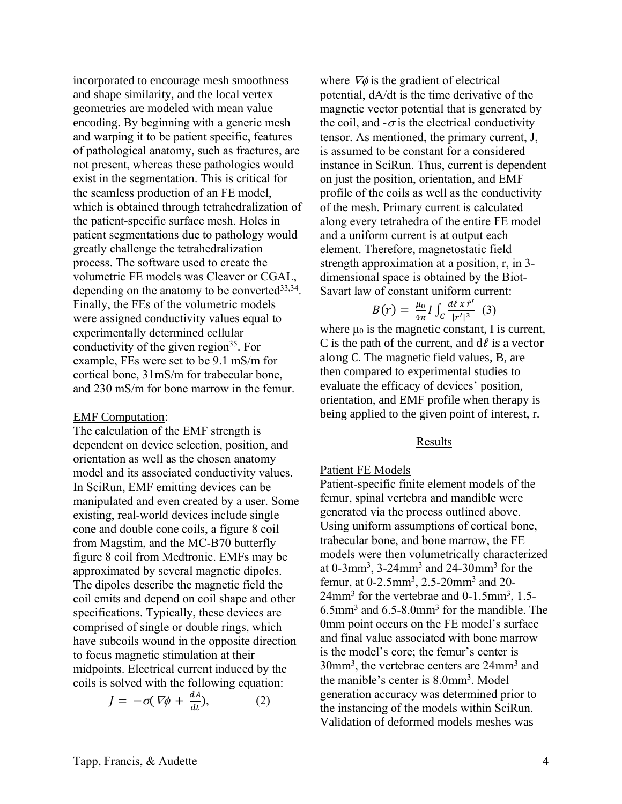incorporated to encourage mesh smoothness and shape similarity, and the local vertex geometries are modeled with mean value encoding. By beginning with a generic mesh and warping it to be patient specific, features of pathological anatomy, such as fractures, are not present, whereas these pathologies would exist in the segmentation. This is critical for the seamless production of an FE model, which is obtained through tetrahedralization of the patient-specific surface mesh. Holes in patient segmentations due to pathology would greatly challenge the tetrahedralization process. The software used to create the volumetric FE models was Cleaver or CGAL, depending on the anatomy to be converted<sup>33,34</sup>. Finally, the FEs of the volumetric models were assigned conductivity values equal to experimentally determined cellular conductivity of the given region<sup>35</sup>. For example, FEs were set to be 9.1 mS/m for cortical bone, 31mS/m for trabecular bone, and 230 mS/m for bone marrow in the femur.

#### EMF Computation:

The calculation of the EMF strength is dependent on device selection, position, and orientation as well as the chosen anatomy model and its associated conductivity values. In SciRun, EMF emitting devices can be manipulated and even created by a user. Some existing, real-world devices include single cone and double cone coils, a figure 8 coil from Magstim, and the MC-B70 butterfly figure 8 coil from Medtronic. EMFs may be approximated by several magnetic dipoles. The dipoles describe the magnetic field the coil emits and depend on coil shape and other specifications. Typically, these devices are comprised of single or double rings, which have subcoils wound in the opposite direction to focus magnetic stimulation at their midpoints. Electrical current induced by the coils is solved with the following equation:

$$
J = -\sigma(\nabla\phi + \frac{dA}{dt}),\tag{2}
$$

where  $\nabla \phi$  is the gradient of electrical potential, dA/dt is the time derivative of the magnetic vector potential that is generated by the coil, and  $-\sigma$  is the electrical conductivity tensor. As mentioned, the primary current, J, is assumed to be constant for a considered instance in SciRun. Thus, current is dependent on just the position, orientation, and EMF profile of the coils as well as the conductivity of the mesh. Primary current is calculated along every tetrahedra of the entire FE model and a uniform current is at output each element. Therefore, magnetostatic field strength approximation at a position, r, in 3 dimensional space is obtained by the Biot-Savart law of constant uniform current:

$$
B(r) = \frac{\mu_0}{4\pi} I \int_C \frac{d\ell \, x \, \hat{r}'}{|r'|^3} \, (3)
$$

where  $\mu_0$  is the magnetic constant, I is current, C is the path of the current, and  $d\ell$  is a vector along C. The magnetic field values, B, are then compared to experimental studies to evaluate the efficacy of devices' position, orientation, and EMF profile when therapy is being applied to the given point of interest, r.

## Results

### Patient FE Models

Patient-specific finite element models of the femur, spinal vertebra and mandible were generated via the process outlined above. Using uniform assumptions of cortical bone, trabecular bone, and bone marrow, the FE models were then volumetrically characterized at 0-3mm<sup>3</sup> , 3-24mm<sup>3</sup> and 24-30mm<sup>3</sup> for the femur, at 0-2.5mm<sup>3</sup>, 2.5-20mm<sup>3</sup> and 20-24mm<sup>3</sup> for the vertebrae and 0-1.5mm<sup>3</sup>, 1.5-6.5mm<sup>3</sup> and 6.5-8.0mm<sup>3</sup> for the mandible. The 0mm point occurs on the FE model's surface and final value associated with bone marrow is the model's core; the femur's center is 30mm<sup>3</sup>, the vertebrae centers are 24mm<sup>3</sup> and the manible's center is 8.0mm<sup>3</sup>. Model generation accuracy was determined prior to the instancing of the models within SciRun. Validation of deformed models meshes was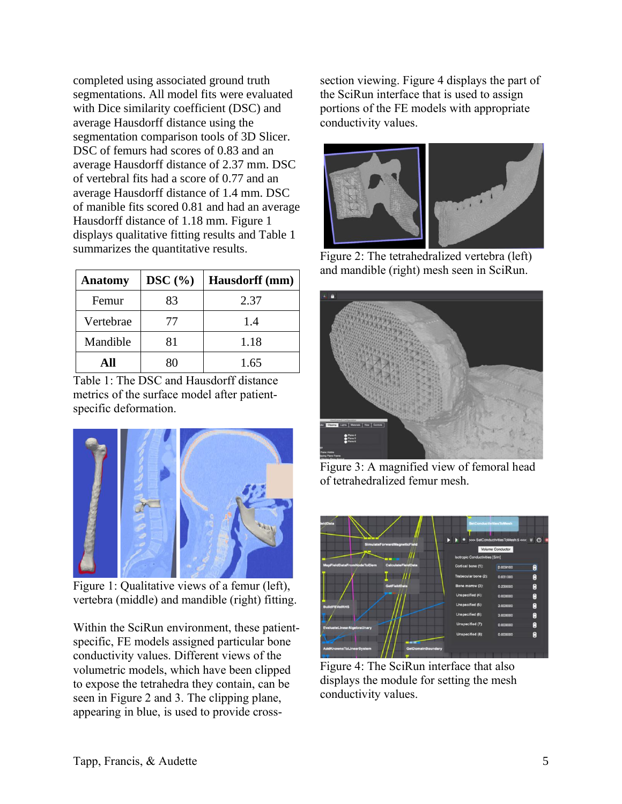completed using associated ground truth segmentations. All model fits were evaluated with Dice similarity coefficient (DSC) and average Hausdorff distance using the segmentation comparison tools of 3D Slicer. DSC of femurs had scores of 0.83 and an average Hausdorff distance of 2.37 mm. DSC of vertebral fits had a score of 0.77 and an average Hausdorff distance of 1.4 mm. DSC of manible fits scored 0.81 and had an average Hausdorff distance of 1.18 mm. Figure 1 displays qualitative fitting results and Table 1 summarizes the quantitative results.

| <b>Anatomy</b> | DSC(%) | Hausdorff (mm) |
|----------------|--------|----------------|
| Femur          | 83     | 2.37           |
| Vertebrae      | 77     | 1.4            |
| Mandible       | 81     | 1.18           |
| ΔH             |        | 1.65           |

Table 1: The DSC and Hausdorff distance metrics of the surface model after patientspecific deformation.



Figure 1: Qualitative views of a femur (left), vertebra (middle) and mandible (right) fitting.

Within the SciRun environment, these patientspecific, FE models assigned particular bone conductivity values. Different views of the volumetric models, which have been clipped to expose the tetrahedra they contain, can be seen in Figure 2 and 3. The clipping plane, appearing in blue, is used to provide crosssection viewing. Figure 4 displays the part of the SciRun interface that is used to assign portions of the FE models with appropriate conductivity values.



Figure 2: The tetrahedralized vertebra (left) and mandible (right) mesh seen in SciRun.



Figure 3: A magnified view of femoral head of tetrahedralized femur mesh.



Figure 4: The SciRun interface that also displays the module for setting the mesh conductivity values.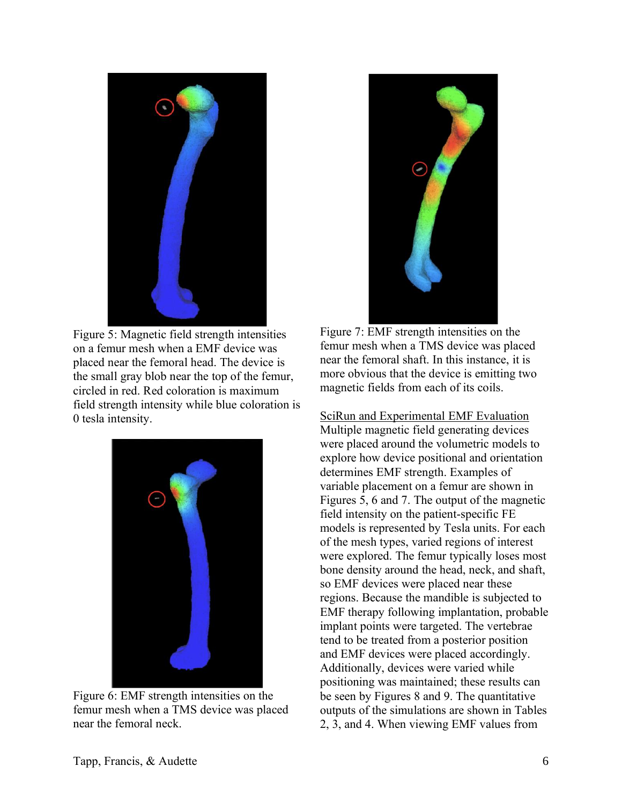

Figure 5: Magnetic field strength intensities on a femur mesh when a EMF device was placed near the femoral head. The device is the small gray blob near the top of the femur, circled in red. Red coloration is maximum field strength intensity while blue coloration is 0 tesla intensity.



Figure 6: EMF strength intensities on the femur mesh when a TMS device was placed near the femoral neck.



Figure 7: EMF strength intensities on the femur mesh when a TMS device was placed near the femoral shaft. In this instance, it is more obvious that the device is emitting two magnetic fields from each of its coils.

SciRun and Experimental EMF Evaluation Multiple magnetic field generating devices were placed around the volumetric models to explore how device positional and orientation determines EMF strength. Examples of variable placement on a femur are shown in Figures 5, 6 and 7. The output of the magnetic field intensity on the patient-specific FE models is represented by Tesla units. For each of the mesh types, varied regions of interest were explored. The femur typically loses most bone density around the head, neck, and shaft, so EMF devices were placed near these regions. Because the mandible is subjected to EMF therapy following implantation, probable implant points were targeted. The vertebrae tend to be treated from a posterior position and EMF devices were placed accordingly. Additionally, devices were varied while positioning was maintained; these results can be seen by Figures 8 and 9. The quantitative outputs of the simulations are shown in Tables 2, 3, and 4. When viewing EMF values from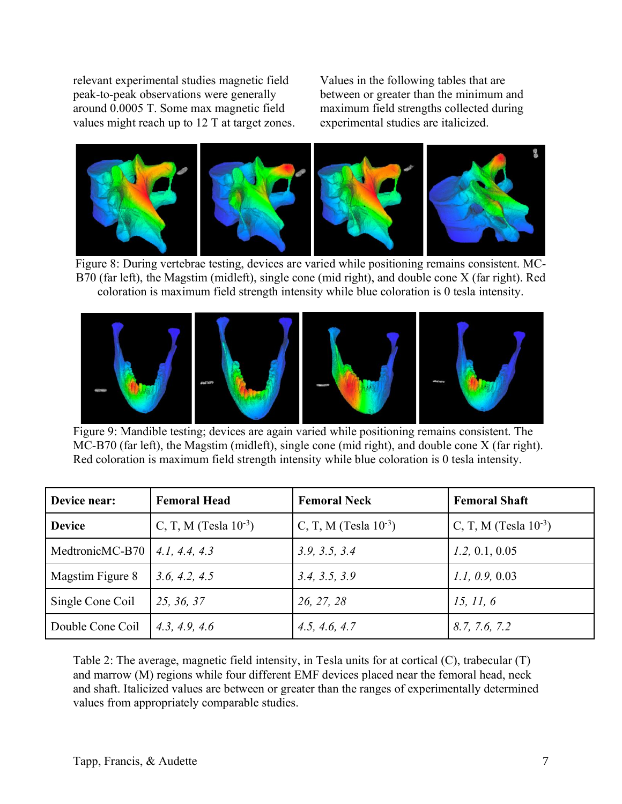relevant experimental studies magnetic field peak-to-peak observations were generally around 0.0005 T. Some max magnetic field values might reach up to 12 T at target zones. Values in the following tables that are between or greater than the minimum and maximum field strengths collected during experimental studies are italicized.



Figure 8: During vertebrae testing, devices are varied while positioning remains consistent. MC-B70 (far left), the Magstim (midleft), single cone (mid right), and double cone X (far right). Red coloration is maximum field strength intensity while blue coloration is 0 tesla intensity.



Figure 9: Mandible testing; devices are again varied while positioning remains consistent. The MC-B70 (far left), the Magstim (midleft), single cone (mid right), and double cone X (far right). Red coloration is maximum field strength intensity while blue coloration is 0 tesla intensity.

| Device near:     | <b>Femoral Head</b>        | <b>Femoral Neck</b>        | <b>Femoral Shaft</b>       |
|------------------|----------------------------|----------------------------|----------------------------|
| <b>Device</b>    | C, T, M (Tesla $10^{-3}$ ) | C, T, M (Tesla $10^{-3}$ ) | C, T, M (Tesla $10^{-3}$ ) |
| MedtronicMC-B70  | 4.1, 4.4, 4.3              | 3.9, 3.5, 3.4              | 1.2, 0.1, 0.05             |
| Magstim Figure 8 | 3.6, 4.2, 4.5              | 3.4, 3.5, 3.9              | 1.1, 0.9, 0.03             |
| Single Cone Coil | 25, 36, 37                 | 26, 27, 28                 | 15, 11, 6                  |
| Double Cone Coil | 4.3, 4.9, 4.6              | 4.5, 4.6, 4.7              | 8.7, 7.6, 7.2              |

Table 2: The average, magnetic field intensity, in Tesla units for at cortical (C), trabecular (T) and marrow (M) regions while four different EMF devices placed near the femoral head, neck and shaft. Italicized values are between or greater than the ranges of experimentally determined values from appropriately comparable studies.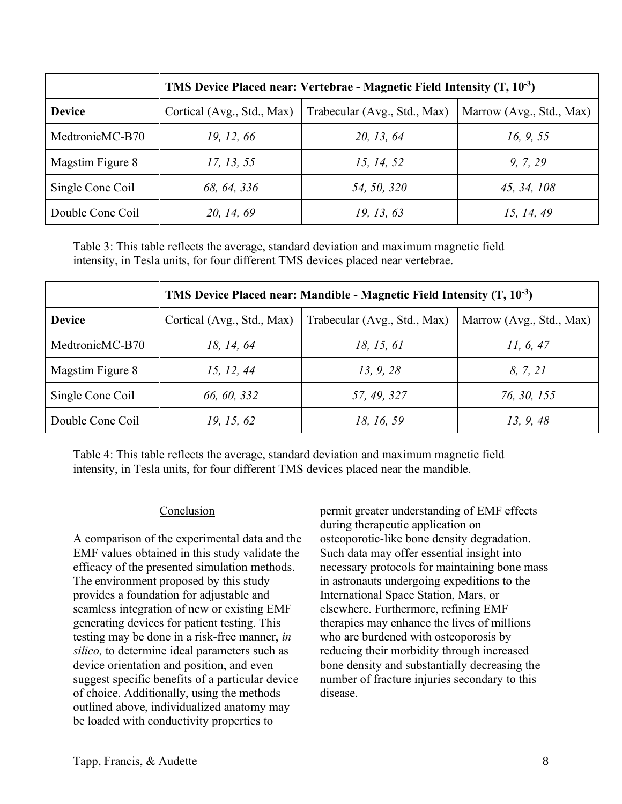|                  | TMS Device Placed near: Vertebrae - Magnetic Field Intensity $(T, 10^{-3})$ |                              |                          |  |
|------------------|-----------------------------------------------------------------------------|------------------------------|--------------------------|--|
| <b>Device</b>    | Cortical (Avg., Std., Max)                                                  | Trabecular (Avg., Std., Max) | Marrow (Avg., Std., Max) |  |
| MedtronicMC-B70  | 19, 12, 66                                                                  | 20, 13, 64                   | 16, 9, 55                |  |
| Magstim Figure 8 | 17, 13, 55                                                                  | 15, 14, 52                   | 9, 7, 29                 |  |
| Single Cone Coil | 68, 64, 336                                                                 | 54, 50, 320                  | 45, 34, 108              |  |
| Double Cone Coil | 20, 14, 69                                                                  | 19, 13, 63                   | 15, 14, 49               |  |

Table 3: This table reflects the average, standard deviation and maximum magnetic field intensity, in Tesla units, for four different TMS devices placed near vertebrae.

|                  | TMS Device Placed near: Mandible - Magnetic Field Intensity $(T, 10^{-3})$ |                              |                          |  |
|------------------|----------------------------------------------------------------------------|------------------------------|--------------------------|--|
| <b>Device</b>    | Cortical (Avg., Std., Max)                                                 | Trabecular (Avg., Std., Max) | Marrow (Avg., Std., Max) |  |
| MedtronicMC-B70  | 18, 14, 64                                                                 | 18, 15, 61                   | 11, 6, 47                |  |
| Magstim Figure 8 | 15, 12, 44                                                                 | 13, 9, 28                    | 8, 7, 21                 |  |
| Single Cone Coil | 66, 60, 332                                                                | 57, 49, 327                  | 76, 30, 155              |  |
| Double Cone Coil | 19, 15, 62                                                                 | 18, 16, 59                   | 13, 9, 48                |  |

Table 4: This table reflects the average, standard deviation and maximum magnetic field intensity, in Tesla units, for four different TMS devices placed near the mandible.

# Conclusion

A comparison of the experimental data and the EMF values obtained in this study validate the efficacy of the presented simulation methods. The environment proposed by this study provides a foundation for adjustable and seamless integration of new or existing EMF generating devices for patient testing. This testing may be done in a risk-free manner, *in silico,* to determine ideal parameters such as device orientation and position, and even suggest specific benefits of a particular device of choice. Additionally, using the methods outlined above, individualized anatomy may be loaded with conductivity properties to

permit greater understanding of EMF effects during therapeutic application on osteoporotic-like bone density degradation. Such data may offer essential insight into necessary protocols for maintaining bone mass in astronauts undergoing expeditions to the International Space Station, Mars, or elsewhere. Furthermore, refining EMF therapies may enhance the lives of millions who are burdened with osteoporosis by reducing their morbidity through increased bone density and substantially decreasing the number of fracture injuries secondary to this disease.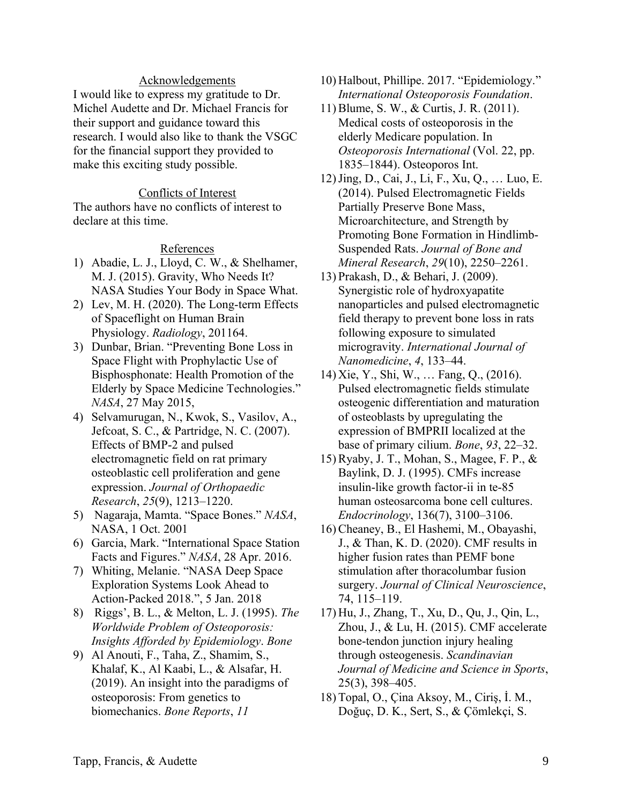### Acknowledgements

I would like to express my gratitude to Dr. Michel Audette and Dr. Michael Francis for their support and guidance toward this research. I would also like to thank the VSGC for the financial support they provided to make this exciting study possible.

### Conflicts of Interest

The authors have no conflicts of interest to declare at this time.

### References

- 1) Abadie, L. J., Lloyd, C. W., & Shelhamer, M. J. (2015). Gravity, Who Needs It? NASA Studies Your Body in Space What.
- 2) Lev, M. H. (2020). The Long-term Effects of Spaceflight on Human Brain Physiology. *Radiology*, 201164.
- 3) Dunbar, Brian. "Preventing Bone Loss in Space Flight with Prophylactic Use of Bisphosphonate: Health Promotion of the Elderly by Space Medicine Technologies." *NASA*, 27 May 2015,
- 4) Selvamurugan, N., Kwok, S., Vasilov, A., Jefcoat, S. C., & Partridge, N. C. (2007). Effects of BMP-2 and pulsed electromagnetic field on rat primary osteoblastic cell proliferation and gene expression. *Journal of Orthopaedic Research*, *25*(9), 1213–1220.
- 5) Nagaraja, Mamta. "Space Bones." *NASA*, NASA, 1 Oct. 2001
- 6) Garcia, Mark. "International Space Station Facts and Figures." *NASA*, 28 Apr. 2016.
- 7) Whiting, Melanie. "NASA Deep Space Exploration Systems Look Ahead to Action-Packed 2018.", 5 Jan. 2018
- 8) Riggs', B. L., & Melton, L. J. (1995). *The Worldwide Problem of Osteoporosis: Insights Afforded by Epidemiology*. *Bone*
- 9) Al Anouti, F., Taha, Z., Shamim, S., Khalaf, K., Al Kaabi, L., & Alsafar, H. (2019). An insight into the paradigms of osteoporosis: From genetics to biomechanics. *Bone Reports*, *11*
- 10) Halbout, Phillipe. 2017. "Epidemiology." *International Osteoporosis Foundation*.
- 11) Blume, S. W., & Curtis, J. R. (2011). Medical costs of osteoporosis in the elderly Medicare population. In *Osteoporosis International* (Vol. 22, pp. 1835–1844). Osteoporos Int.
- 12)Jing, D., Cai, J., Li, F., Xu, Q., … Luo, E. (2014). Pulsed Electromagnetic Fields Partially Preserve Bone Mass, Microarchitecture, and Strength by Promoting Bone Formation in Hindlimb-Suspended Rats. *Journal of Bone and Mineral Research*, *29*(10), 2250–2261.
- 13) Prakash, D., & Behari, J. (2009). Synergistic role of hydroxyapatite nanoparticles and pulsed electromagnetic field therapy to prevent bone loss in rats following exposure to simulated microgravity. *International Journal of Nanomedicine*, *4*, 133–44.
- 14) Xie, Y., Shi, W., … Fang, Q., (2016). Pulsed electromagnetic fields stimulate osteogenic differentiation and maturation of osteoblasts by upregulating the expression of BMPRII localized at the base of primary cilium. *Bone*, *93*, 22–32.
- 15) Ryaby, J. T., Mohan, S., Magee, F. P., & Baylink, D. J. (1995). CMFs increase insulin-like growth factor-ii in te-85 human osteosarcoma bone cell cultures. *Endocrinology*, 136(7), 3100–3106.
- 16) Cheaney, B., El Hashemi, M., Obayashi, J., & Than, K. D. (2020). CMF results in higher fusion rates than PEMF bone stimulation after thoracolumbar fusion surgery. *Journal of Clinical Neuroscience*, 74, 115–119.
- 17) Hu, J., Zhang, T., Xu, D., Qu, J., Qin, L., Zhou, J., & Lu, H. (2015). CMF accelerate bone-tendon junction injury healing through osteogenesis. *Scandinavian Journal of Medicine and Science in Sports*, 25(3), 398–405.
- 18) Topal, O., Çina Aksoy, M., Ciriş, İ. M., Doğuç, D. K., Sert, S., & Çömlekçi, S.